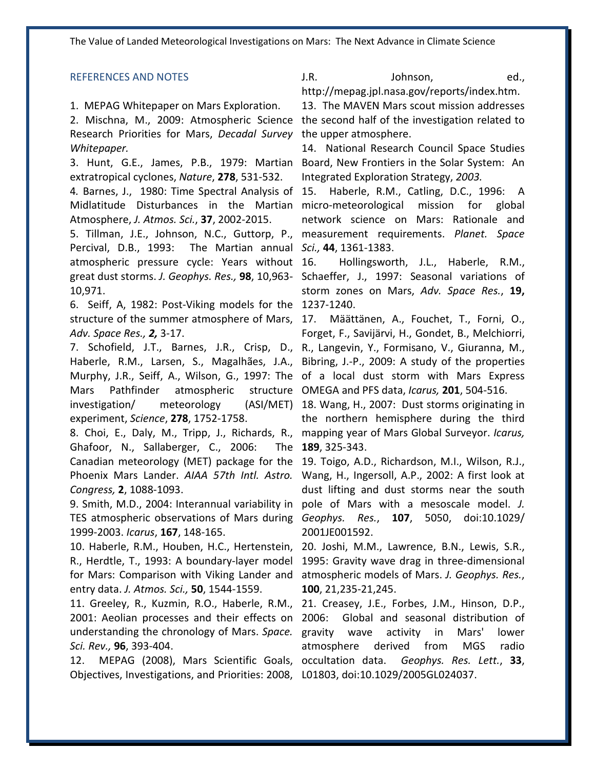The Value of Landed Meteorological Investigations on Mars: The Next Advance in Climate Science

## REFERENCES AND NOTES

## 1. MEPAG Whitepaper on Mars Exploration.

2. Mischna, M., 2009: Atmospheric Science Research Priorities for Mars, *Decadal Survey*  the upper atmosphere. *Whitepaper.*

3. Hunt, G.E., James, P.B., 1979: Martian extratropical cyclones, *Nature*, **278**, 531-532.

Midlatitude Disturbances in the Martian Atmosphere, *J. Atmos. Sci.*, **37**, 2002-2015.

Percival, D.B., 1993: atmospheric pressure cycle: Years without great dust storms. *J. Geophys. Res.,* **98**, 10,963- Schaeffer, J., 1997: Seasonal variations of 10,971. *Sci.,* **44**, 1361-1383.

6. Seiff, A, 1982: Post-Viking models for the 1237-1240. structure of the summer atmosphere of Mars, 17. Määttänen, A., Fouchet, T., Forni, O., *Adv. Space Res., 2,* 3-17.

Haberle, R.M., Larsen, S., Magalhães, J.A., Bibring, J.-P., 2009: A study of the properties Murphy, J.R., Seiff, A., Wilson, G., 1997: The of a local dust storm with Mars Express Mars Pathfinder atmospheric investigation/ meteorology experiment, *Science*, **278**, 1752-1758.

Ghafoor, N., Sallaberger, C., 2006: Canadian meteorology (MET) package for the 19. Toigo, A.D., Richardson, M.I., Wilson, R.J., Phoenix Mars Lander. *AIAA 57th Intl. Astro.*  Wang, H., Ingersoll, A.P., 2002: A first look at *Congress,* **2**, 1088-1093.

TES atmospheric observations of Mars during *Geophys. Res.*, **107**, 5050, doi:10.1029/ 1999-2003. *Icarus*, **167**, 148-165.

R., Herdtle, T., 1993: A boundary-layer model for Mars: Comparison with Viking Lander and entry data. *J. Atmos. Sci.,* **50**, 1544-1559.

11. Greeley, R., Kuzmin, R.O., Haberle, R.M., 2001: Aeolian processes and their effects on 2006: understanding the chronology of Mars. *Space.*  gravity wave activity in Mars' lower *Sci. Rev.,* **96**, 393-404.

12. MEPAG (2008), Mars Scientific Goals, occultation data. Objectives, Investigations, and Priorities: 2008, L01803, doi:10.1029/2005GL024037.

J.R. Johnson, ed.,

http://mepag.jpl.nasa.gov/reports/index.htm. 13. The MAVEN Mars scout mission addresses the second half of the investigation related to

14. National Research Council Space Studies Board, New Frontiers in the Solar System: An Integrated Exploration Strategy, *2003.* 

4*.* Barnes, J., 1980: Time Spectral Analysis of 15. Haberle, R.M., Catling, D.C., 1996: A 5. Tillman, J.E., Johnson, N.C., Guttorp, P., measurement requirements. Planet. Space micro-meteorological mission for global network science on Mars: Rationale and

> 16. Hollingsworth, J.L., Haberle, R.M., storm zones on Mars, *Adv. Space Res.*, **19,**

7. Schofield, J.T., Barnes, J.R., Crisp, D., R., Langevin, Y., Formisano, V., Giuranna, M., Forget, F., Savijärvi, H., Gondet, B., Melchiorri, structure OMEGA and PFS data, *Icarus*, 201, 504-516.

8. Choi, E., Daly, M., Tripp, J., Richards, R., mapping year of Mars Global Surveyor. *Icarus,* (ASI/MET) 18. Wang, H., 2007: Dust storms originating in the northern hemisphere during the third **189**, 325-343.

9. Smith, M.D., 2004: Interannual variability in pole of Mars with a mesoscale model. *J.*  dust lifting and dust storms near the south 2001JE001592.

10. Haberle, R.M., Houben, H.C., Hertenstein, 20. Joshi, M.M., Lawrence, B.N., Lewis, S.R., 1995: Gravity wave drag in three-dimensional atmospheric models of Mars. *J. Geophys. Res.*, **100**, 21,235-21,245.

> 21. Creasey, J.E., Forbes, J.M., Hinson, D.P., Global and seasonal distribution of atmosphere derived from MGS radio occultation data. *Geophys. Res. Lett.*, **33**,